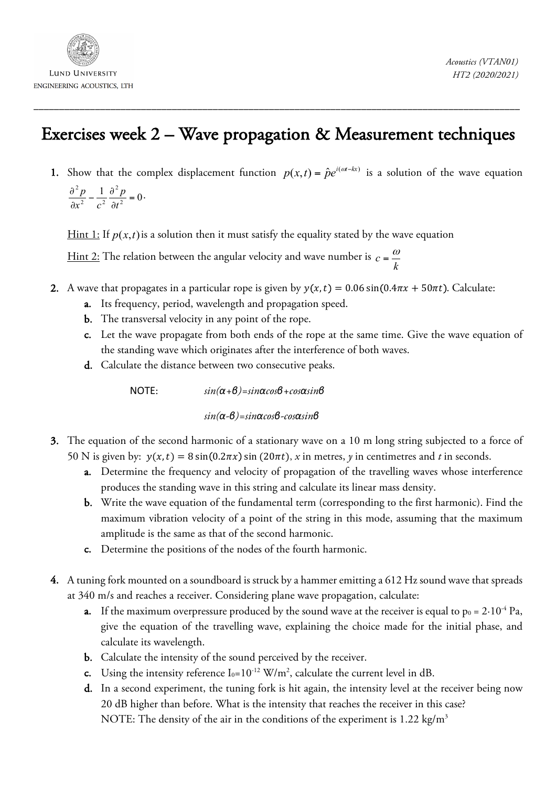

## Exercises week 2 – Wave propagation & Measurement techniques

\_\_\_\_\_\_\_\_\_\_\_\_\_\_\_\_\_\_\_\_\_\_\_\_\_\_\_\_\_\_\_\_\_\_\_\_\_\_\_\_\_\_\_\_\_\_\_\_\_\_\_\_\_\_\_\_\_\_\_\_\_\_\_\_\_\_\_\_\_\_\_\_\_\_\_\_\_\_\_\_\_\_\_\_\_\_\_\_\_\_\_\_\_\_\_

1. Show that the complex displacement function  $p(x,t) = \hat{p}e^{i(\omega t - kx)}$  is a solution of the wave equation  $\frac{1}{2} \frac{\partial^2 p}{\partial t^2} = 0$ . 2  $a^2$ 2  $\frac{\partial^2 p}{\partial x^2} - \frac{1}{c^2} \frac{\partial^2 p}{\partial t^2} =$ *t p*  $x^2$  *c p*

<u>Hint 1:</u> If  $p(x,t)$  is a solution then it must satisfy the equality stated by the wave equation

<u>Hint 2:</u> The relation between the angular velocity and wave number is *k*  $c = \frac{\omega}{l}$ 

- 2. A wave that propagates in a particular rope is given by  $y(x, t) = 0.06 \sin(0.4\pi x + 50\pi t)$ . Calculate:
	- a. Its frequency, period, wavelength and propagation speed.
	- b. The transversal velocity in any point of the rope.
	- c. Let the wave propagate from both ends of the rope at the same time. Give the wave equation of the standing wave which originates after the interference of both waves.
	- d. Calculate the distance between two consecutive peaks.

ΝΟΤΕ: *sin(α+β)=sinαcosβ+cosαsinβ*

*sin(α-β)=sinαcosβ-cosαsinβ*

- 3. The equation of the second harmonic of a stationary wave on a 10 m long string subjected to a force of 50 N is given by:  $y(x,t) = 8 \sin(0.2\pi x) \sin(20\pi t)$ , *x* in metres, *y* in centimetres and *t* in seconds.
	- a. Determine the frequency and velocity of propagation of the travelling waves whose interference produces the standing wave in this string and calculate its linear mass density.
	- b. Write the wave equation of the fundamental term (corresponding to the first harmonic). Find the maximum vibration velocity of a point of the string in this mode, assuming that the maximum amplitude is the same as that of the second harmonic.
	- c. Determine the positions of the nodes of the fourth harmonic.
- 4. A tuning fork mounted on a soundboard is struck by a hammer emitting a 612 Hz sound wave that spreads at 340 m/s and reaches a receiver. Considering plane wave propagation, calculate:
	- a. If the maximum overpressure produced by the sound wave at the receiver is equal to  $p_0 = 2.10^{-4}$  Pa, give the equation of the travelling wave, explaining the choice made for the initial phase, and calculate its wavelength.
	- b. Calculate the intensity of the sound perceived by the receiver.
	- c. Using the intensity reference  $I_0=10^{-12}$  W/m<sup>2</sup>, calculate the current level in dB.
	- d. In a second experiment, the tuning fork is hit again, the intensity level at the receiver being now 20 dB higher than before. What is the intensity that reaches the receiver in this case? NOTE: The density of the air in the conditions of the experiment is 1.22 kg/m<sup>3</sup>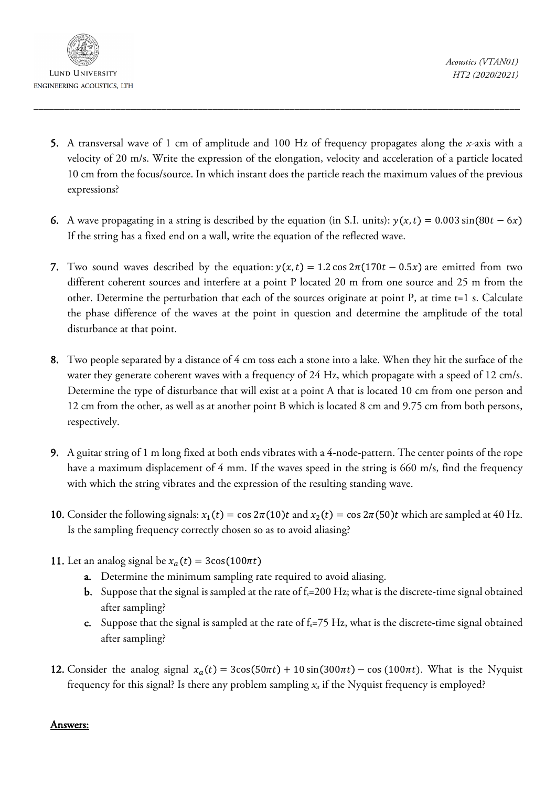

5. A transversal wave of 1 cm of amplitude and 100 Hz of frequency propagates along the *x-*axis with a velocity of 20 m/s. Write the expression of the elongation, velocity and acceleration of a particle located 10 cm from the focus/source. In which instant does the particle reach the maximum values of the previous expressions?

\_\_\_\_\_\_\_\_\_\_\_\_\_\_\_\_\_\_\_\_\_\_\_\_\_\_\_\_\_\_\_\_\_\_\_\_\_\_\_\_\_\_\_\_\_\_\_\_\_\_\_\_\_\_\_\_\_\_\_\_\_\_\_\_\_\_\_\_\_\_\_\_\_\_\_\_\_\_\_\_\_\_\_\_\_\_\_\_\_\_\_\_\_\_\_

- 6. A wave propagating in a string is described by the equation (in S.I. units):  $y(x, t) = 0.003 \sin(80t 6x)$ If the string has a fixed end on a wall, write the equation of the reflected wave.
- 7. Two sound waves described by the equation:  $y(x, t) = 1.2 \cos 2\pi (170t 0.5x)$  are emitted from two different coherent sources and interfere at a point P located 20 m from one source and 25 m from the other. Determine the perturbation that each of the sources originate at point P, at time t=1 s. Calculate the phase difference of the waves at the point in question and determine the amplitude of the total disturbance at that point.
- 8. Two people separated by a distance of 4 cm toss each a stone into a lake. When they hit the surface of the water they generate coherent waves with a frequency of 24 Hz, which propagate with a speed of 12 cm/s. Determine the type of disturbance that will exist at a point A that is located 10 cm from one person and 12 cm from the other, as well as at another point B which is located 8 cm and 9.75 cm from both persons, respectively.
- 9. A guitar string of 1 m long fixed at both ends vibrates with a 4-node-pattern. The center points of the rope have a maximum displacement of 4 mm. If the waves speed in the string is 660 m/s, find the frequency with which the string vibrates and the expression of the resulting standing wave.
- 10. Consider the following signals:  $x_1(t) = \cos 2\pi(10)t$  and  $x_2(t) = \cos 2\pi(50)t$  which are sampled at 40 Hz. Is the sampling frequency correctly chosen so as to avoid aliasing?
- 11. Let an analog signal be  $x_a(t) = 3\cos(100\pi t)$ 
	- a. Determine the minimum sampling rate required to avoid aliasing.
	- **b.** Suppose that the signal is sampled at the rate of  $f_s = 200$  Hz; what is the discrete-time signal obtained after sampling?
	- c. Suppose that the signal is sampled at the rate of  $f_s$ =75 Hz, what is the discrete-time signal obtained after sampling?
- 12. Consider the analog signal  $x_a(t) = 3\cos(50\pi t) + 10\sin(300\pi t) \cos(100\pi t)$ . What is the Nyquist frequency for this signal? Is there any problem sampling *xa* if the Nyquist frequency is employed?

## Answers: